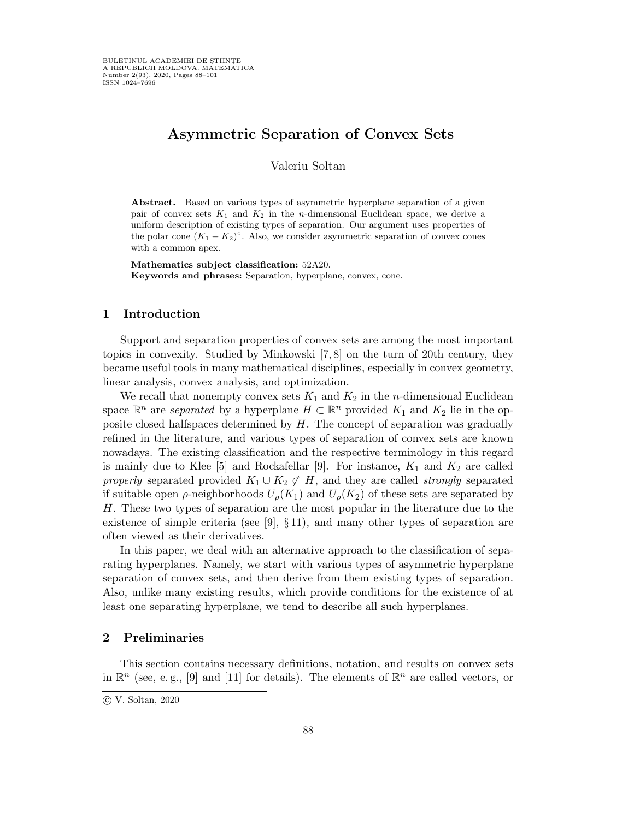# Asymmetric Separation of Convex Sets

Valeriu Soltan

Abstract. Based on various types of asymmetric hyperplane separation of a given pair of convex sets  $K_1$  and  $K_2$  in the *n*-dimensional Euclidean space, we derive a uniform description of existing types of separation. Our argument uses properties of the polar cone  $(K_1 - K_2)^\circ$ . Also, we consider asymmetric separation of convex cones with a common apex.

Mathematics subject classification: 52A20. Keywords and phrases: Separation, hyperplane, convex, cone.

# 1 Introduction

Support and separation properties of convex sets are among the most important topics in convexity. Studied by Minkowski [7, 8] on the turn of 20th century, they became useful tools in many mathematical disciplines, especially in convex geometry, linear analysis, convex analysis, and optimization.

We recall that nonempty convex sets  $K_1$  and  $K_2$  in the *n*-dimensional Euclidean space  $\mathbb{R}^n$  are separated by a hyperplane  $H \subset \mathbb{R}^n$  provided  $K_1$  and  $K_2$  lie in the opposite closed halfspaces determined by  $H$ . The concept of separation was gradually refined in the literature, and various types of separation of convex sets are known nowadays. The existing classification and the respective terminology in this regard is mainly due to Klee [5] and Rockafellar [9]. For instance,  $K_1$  and  $K_2$  are called properly separated provided  $K_1 \cup K_2 \not\subset H$ , and they are called *strongly* separated if suitable open  $\rho$ -neighborhoods  $U_{\rho}(K_1)$  and  $U_{\rho}(K_2)$  of these sets are separated by H. These two types of separation are the most popular in the literature due to the existence of simple criteria (see [9],  $\S 11$ ), and many other types of separation are often viewed as their derivatives.

In this paper, we deal with an alternative approach to the classification of separating hyperplanes. Namely, we start with various types of asymmetric hyperplane separation of convex sets, and then derive from them existing types of separation. Also, unlike many existing results, which provide conditions for the existence of at least one separating hyperplane, we tend to describe all such hyperplanes.

# 2 Preliminaries

This section contains necessary definitions, notation, and results on convex sets in  $\mathbb{R}^n$  (see, e.g., [9] and [11] for details). The elements of  $\mathbb{R}^n$  are called vectors, or

c V. Soltan, 2020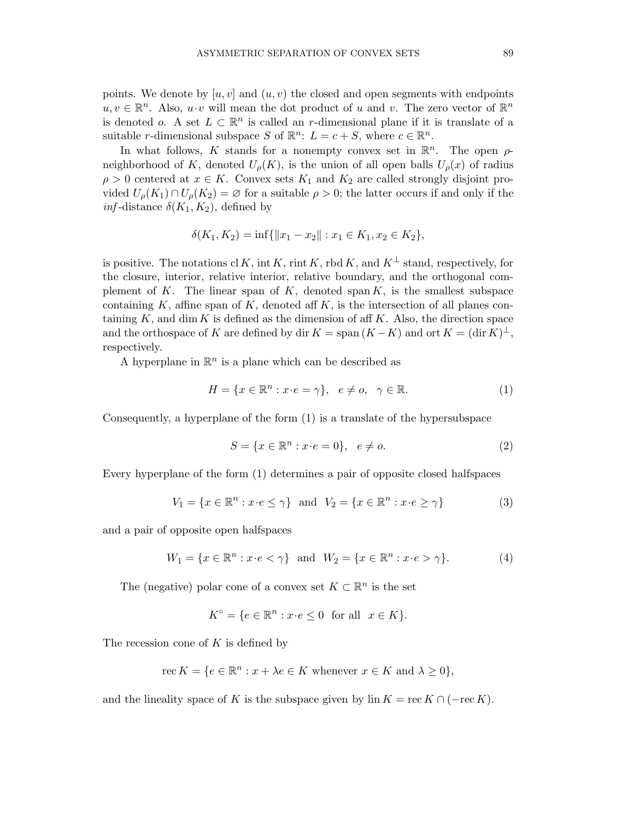points. We denote by  $[u, v]$  and  $(u, v)$  the closed and open segments with endpoints  $u, v \in \mathbb{R}^n$ . Also,  $u \cdot v$  will mean the dot product of u and v. The zero vector of  $\mathbb{R}^n$ is denoted *o*. A set  $L \subset \mathbb{R}^n$  is called an r-dimensional plane if it is translate of a suitable *r*-dimensional subspace S of  $\mathbb{R}^n$ :  $L = c + S$ , where  $c \in \mathbb{R}^n$ .

In what follows, K stands for a nonempty convex set in  $\mathbb{R}^n$ . The open  $\rho$ neighborhood of K, denoted  $U_{\rho}(K)$ , is the union of all open balls  $U_{\rho}(x)$  of radius  $\rho > 0$  centered at  $x \in K$ . Convex sets  $K_1$  and  $K_2$  are called strongly disjoint provided  $U_{\rho}(K_1) \cap U_{\rho}(K_2) = \emptyset$  for a suitable  $\rho > 0$ ; the latter occurs if and only if the *inf*-distance  $\delta(K_1, K_2)$ , defined by

$$
\delta(K_1, K_2) = \inf \{ ||x_1 - x_2|| : x_1 \in K_1, x_2 \in K_2 \},\
$$

is positive. The notations cl K, int K, rint K, rbd K, and  $K^{\perp}$  stand, respectively, for the closure, interior, relative interior, relative boundary, and the orthogonal complement of K. The linear span of K, denoted span  $K$ , is the smallest subspace containing K, affine span of K, denoted aff K, is the intersection of all planes containing  $K$ , and dim  $K$  is defined as the dimension of aff  $K$ . Also, the direction space and the orthospace of K are defined by dir  $K = \text{span}(K - K)$  and ort  $K = (\text{dir } \tilde{K})^{\perp}$ , respectively.

A hyperplane in  $\mathbb{R}^n$  is a plane which can be described as

$$
H = \{x \in \mathbb{R}^n : x \cdot e = \gamma\}, \quad e \neq o, \quad \gamma \in \mathbb{R}.\tag{1}
$$

Consequently, a hyperplane of the form (1) is a translate of the hypersubspace

$$
S = \{x \in \mathbb{R}^n : x \cdot e = 0\}, \quad e \neq o. \tag{2}
$$

Every hyperplane of the form (1) determines a pair of opposite closed halfspaces

$$
V_1 = \{x \in \mathbb{R}^n : x \cdot e \le \gamma\} \text{ and } V_2 = \{x \in \mathbb{R}^n : x \cdot e \ge \gamma\}
$$
 (3)

and a pair of opposite open halfspaces

$$
W_1 = \{ x \in \mathbb{R}^n : x \cdot e < \gamma \} \quad \text{and} \quad W_2 = \{ x \in \mathbb{R}^n : x \cdot e > \gamma \}. \tag{4}
$$

The (negative) polar cone of a convex set  $K \subset \mathbb{R}^n$  is the set

$$
K^{\circ} = \{ e \in \mathbb{R}^n : x \cdot e \le 0 \text{ for all } x \in K \}.
$$

The recession cone of  $K$  is defined by

$$
\operatorname{rec} K = \{ e \in \mathbb{R}^n : x + \lambda e \in K \text{ whenever } x \in K \text{ and } \lambda \ge 0 \},
$$

and the lineality space of K is the subspace given by lin  $K = \text{rec } K \cap (-\text{rec } K)$ .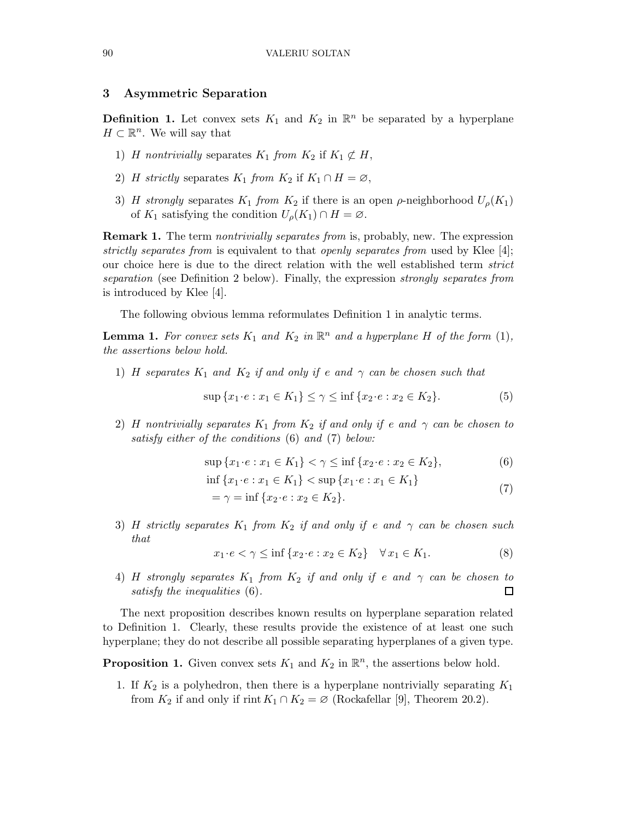## 3 Asymmetric Separation

**Definition 1.** Let convex sets  $K_1$  and  $K_2$  in  $\mathbb{R}^n$  be separated by a hyperplane  $H \subset \mathbb{R}^n$ . We will say that

- 1) H nontrivially separates  $K_1$  from  $K_2$  if  $K_1 \not\subset H$ ,
- 2) H strictly separates  $K_1$  from  $K_2$  if  $K_1 \cap H = \emptyset$ ,
- 3) H strongly separates  $K_1$  from  $K_2$  if there is an open  $\rho$ -neighborhood  $U_\rho(K_1)$ of  $K_1$  satisfying the condition  $U_\rho(K_1) \cap H = \emptyset$ .

**Remark 1.** The term *nontrivially separates from* is, probably, new. The expression strictly separates from is equivalent to that openly separates from used by Klee [4]; our choice here is due to the direct relation with the well established term strict separation (see Definition 2 below). Finally, the expression *strongly separates from* is introduced by Klee [4].

The following obvious lemma reformulates Definition 1 in analytic terms.

**Lemma 1.** For convex sets  $K_1$  and  $K_2$  in  $\mathbb{R}^n$  and a hyperplane H of the form (1), the assertions below hold.

1) H separates  $K_1$  and  $K_2$  if and only if e and  $\gamma$  can be chosen such that

$$
\sup \{x_1 \cdot e : x_1 \in K_1\} \le \gamma \le \inf \{x_2 \cdot e : x_2 \in K_2\}.\tag{5}
$$

2) H nontrivially separates  $K_1$  from  $K_2$  if and only if e and  $\gamma$  can be chosen to satisfy either of the conditions (6) and (7) below:

$$
\sup\{x_1 \cdot e : x_1 \in K_1\} < \gamma \le \inf\{x_2 \cdot e : x_2 \in K_2\},\tag{6}
$$

$$
\inf \{x_1 \cdot e : x_1 \in K_1\} < \sup \{x_1 \cdot e : x_1 \in K_1\} \\
= \gamma = \inf \{x_2 \cdot e : x_2 \in K_2\}.\n \tag{7}
$$

3) H strictly separates  $K_1$  from  $K_2$  if and only if e and  $\gamma$  can be chosen such that

$$
x_1 \cdot e < \gamma \le \inf \{ x_2 \cdot e : x_2 \in K_2 \} \quad \forall \, x_1 \in K_1. \tag{8}
$$

4) H strongly separates  $K_1$  from  $K_2$  if and only if e and  $\gamma$  can be chosen to  $\Box$ satisfy the inequalities (6).

The next proposition describes known results on hyperplane separation related to Definition 1. Clearly, these results provide the existence of at least one such hyperplane; they do not describe all possible separating hyperplanes of a given type.

**Proposition 1.** Given convex sets  $K_1$  and  $K_2$  in  $\mathbb{R}^n$ , the assertions below hold.

1. If  $K_2$  is a polyhedron, then there is a hyperplane nontrivially separating  $K_1$ from  $K_2$  if and only if rint  $K_1 \cap K_2 = \emptyset$  (Rockafellar [9], Theorem 20.2).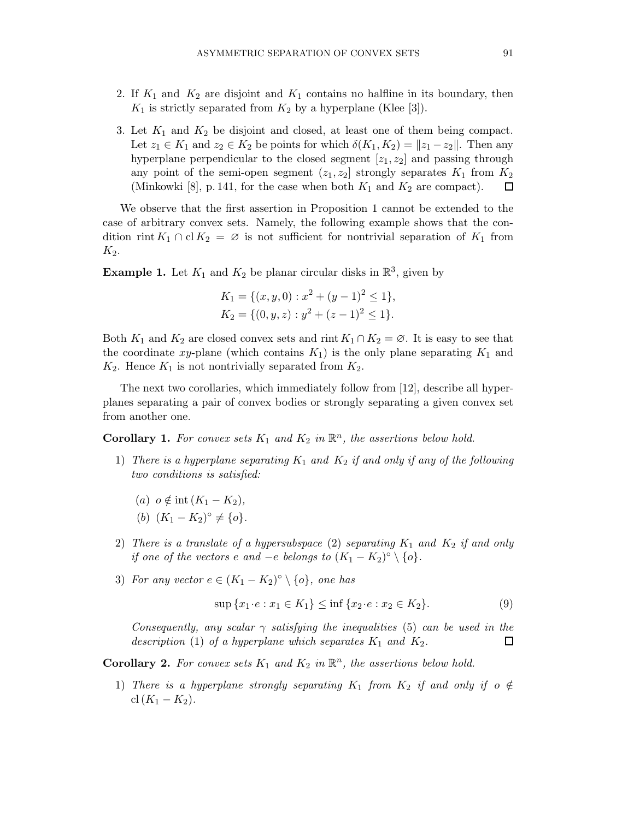- 2. If  $K_1$  and  $K_2$  are disjoint and  $K_1$  contains no halfline in its boundary, then  $K_1$  is strictly separated from  $K_2$  by a hyperplane (Klee [3]).
- 3. Let  $K_1$  and  $K_2$  be disjoint and closed, at least one of them being compact. Let  $z_1 \in K_1$  and  $z_2 \in K_2$  be points for which  $\delta(K_1, K_2) = ||z_1 - z_2||$ . Then any hyperplane perpendicular to the closed segment  $[z_1, z_2]$  and passing through any point of the semi-open segment  $(z_1, z_2]$  strongly separates  $K_1$  from  $K_2$ (Minkowki [8], p. 141, for the case when both  $K_1$  and  $K_2$  are compact).  $\Box$

We observe that the first assertion in Proposition 1 cannot be extended to the case of arbitrary convex sets. Namely, the following example shows that the condition rint  $K_1 \cap$  cl  $K_2 = \emptyset$  is not sufficient for nontrivial separation of  $K_1$  from  $K_2$ .

**Example 1.** Let  $K_1$  and  $K_2$  be planar circular disks in  $\mathbb{R}^3$ , given by

$$
K_1 = \{ (x, y, 0) : x^2 + (y - 1)^2 \le 1 \},
$$
  
\n
$$
K_2 = \{ (0, y, z) : y^2 + (z - 1)^2 \le 1 \}.
$$

Both  $K_1$  and  $K_2$  are closed convex sets and rint  $K_1 \cap K_2 = \emptyset$ . It is easy to see that the coordinate xy-plane (which contains  $K_1$ ) is the only plane separating  $K_1$  and  $K_2$ . Hence  $K_1$  is not nontrivially separated from  $K_2$ .

The next two corollaries, which immediately follow from [12], describe all hyperplanes separating a pair of convex bodies or strongly separating a given convex set from another one.

**Corollary 1.** For convex sets  $K_1$  and  $K_2$  in  $\mathbb{R}^n$ , the assertions below hold.

- 1) There is a hyperplane separating  $K_1$  and  $K_2$  if and only if any of the following two conditions is satisfied:
	- (a)  $o \notin \text{int } (K_1 K_2),$ (b)  $(K_1 - K_2)^{\circ} \neq \{o\}.$
- 2) There is a translate of a hypersubspace (2) separating  $K_1$  and  $K_2$  if and only if one of the vectors e and  $-e$  belongs to  $(K_1 - K_2)^\circ \setminus \{o\}.$
- 3) For any vector  $e \in (K_1 K_2)^\circ \setminus \{o\}$ , one has

$$
\sup \{x_1 \cdot e : x_1 \in K_1\} \le \inf \{x_2 \cdot e : x_2 \in K_2\}.\tag{9}
$$

Consequently, any scalar  $\gamma$  satisfying the inequalities (5) can be used in the description (1) of a hyperplane which separates  $K_1$  and  $K_2$ .  $\Box$ 

**Corollary 2.** For convex sets  $K_1$  and  $K_2$  in  $\mathbb{R}^n$ , the assertions below hold.

1) There is a hyperplane strongly separating  $K_1$  from  $K_2$  if and only if  $o \notin$ cl  $(K_1 - K_2)$ .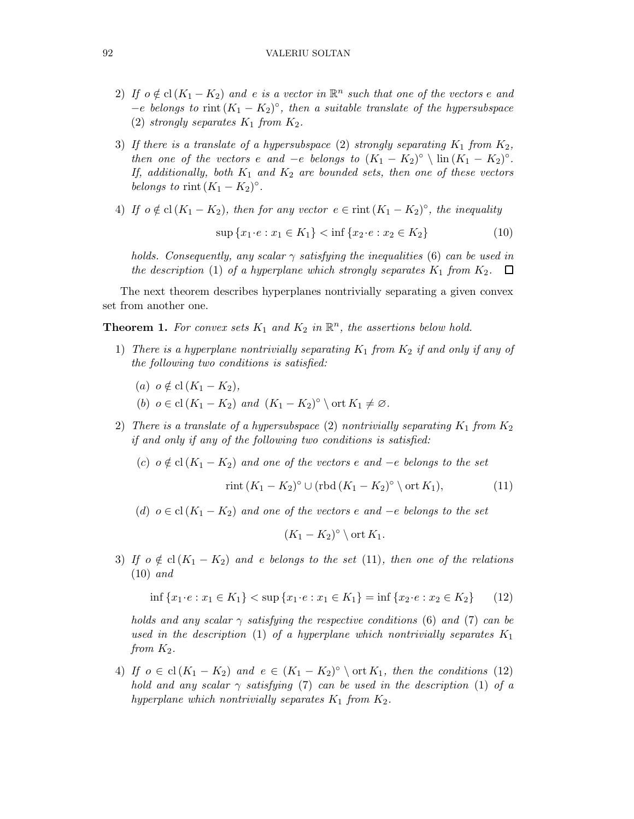- 2) If  $o \notin cl(K_1 K_2)$  and e is a vector in  $\mathbb{R}^n$  such that one of the vectors e and  $-e$  belongs to rint  $(K_1 - K_2)^\circ$ , then a suitable translate of the hypersubspace (2) strongly separates  $K_1$  from  $K_2$ .
- 3) If there is a translate of a hypersubspace (2) strongly separating  $K_1$  from  $K_2$ , then one of the vectors e and  $-e$  belongs to  $(K_1 - K_2)^\circ \setminus \text{lin}(K_1 - K_2)^\circ$ . If, additionally, both  $K_1$  and  $K_2$  are bounded sets, then one of these vectors belongs to rint  $(K_1 - K_2)^\circ$ .
- 4) If  $o \notin cl(K_1 K_2)$ , then for any vector  $e \in \text{rint}(K_1 K_2)^\circ$ , the inequality

$$
\sup \{x_1 \cdot e : x_1 \in K_1\} < \inf \{x_2 \cdot e : x_2 \in K_2\} \tag{10}
$$

holds. Consequently, any scalar  $\gamma$  satisfying the inequalities (6) can be used in the description (1) of a hyperplane which strongly separates  $K_1$  from  $K_2$ .  $\Box$ 

The next theorem describes hyperplanes nontrivially separating a given convex set from another one.

**Theorem 1.** For convex sets  $K_1$  and  $K_2$  in  $\mathbb{R}^n$ , the assertions below hold.

- 1) There is a hyperplane nontrivially separating  $K_1$  from  $K_2$  if and only if any of the following two conditions is satisfied:
	- (a)  $o \notin \text{cl}(K_1 K_2),$
	- (b)  $o \in \text{cl}(K_1 K_2)$  and  $(K_1 K_2)^\circ \setminus \text{ort } K_1 \neq \emptyset$ .
- 2) There is a translate of a hypersubspace (2) nontrivially separating  $K_1$  from  $K_2$ if and only if any of the following two conditions is satisfied:
	- (c)  $o \notin cl(K_1 K_2)$  and one of the vectors e and  $-e$  belongs to the set

$$
\operatorname{rint}(K_1 - K_2)^{\circ} \cup (\operatorname{rbd}(K_1 - K_2)^{\circ} \setminus \operatorname{ort} K_1),\tag{11}
$$

(d)  $o \in \text{cl}(K_1 - K_2)$  and one of the vectors e and  $-e$  belongs to the set

$$
(K_1 - K_2)^{\circ} \setminus \text{ort } K_1.
$$

3) If  $o \notin cl(K_1 - K_2)$  and e belongs to the set (11), then one of the relations (10) and

$$
\inf \{x_1 \cdot e : x_1 \in K_1\} < \sup \{x_1 \cdot e : x_1 \in K_1\} = \inf \{x_2 \cdot e : x_2 \in K_2\} \tag{12}
$$

holds and any scalar  $\gamma$  satisfying the respective conditions (6) and (7) can be used in the description (1) of a hyperplane which nontrivially separates  $K_1$ from  $K_2$ .

4) If  $o \in \text{cl}(K_1 - K_2)$  and  $e \in (K_1 - K_2)^\circ \setminus \text{ort } K_1$ , then the conditions (12) hold and any scalar  $\gamma$  satisfying (7) can be used in the description (1) of a hyperplane which nontrivially separates  $K_1$  from  $K_2$ .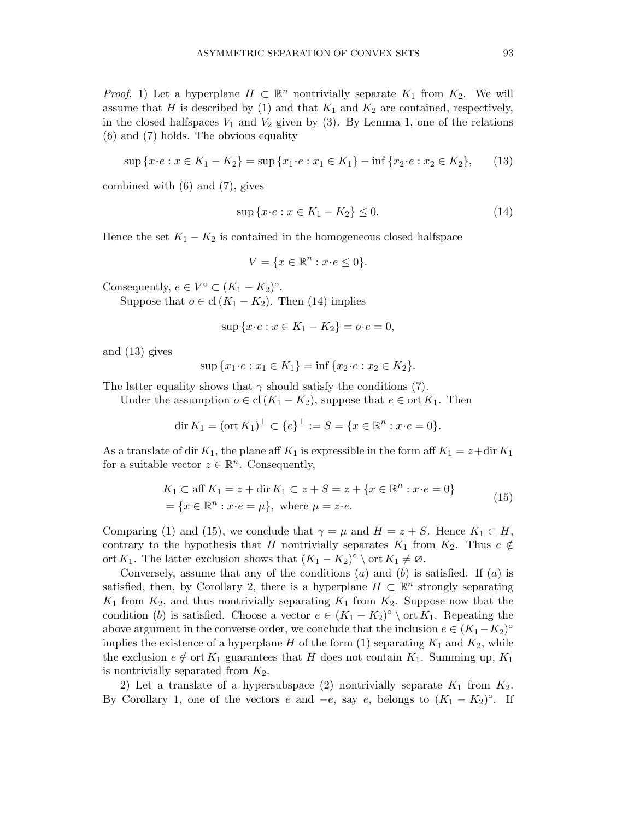*Proof.* 1) Let a hyperplane  $H \subset \mathbb{R}^n$  nontrivially separate  $K_1$  from  $K_2$ . We will assume that H is described by (1) and that  $K_1$  and  $K_2$  are contained, respectively, in the closed halfspaces  $V_1$  and  $V_2$  given by (3). By Lemma 1, one of the relations (6) and (7) holds. The obvious equality

$$
\sup\left\{x \cdot e : x \in K_1 - K_2\right\} = \sup\left\{x_1 \cdot e : x_1 \in K_1\right\} - \inf\left\{x_2 \cdot e : x_2 \in K_2\right\},\tag{13}
$$

combined with (6) and (7), gives

$$
\sup\left\{x \cdot e : x \in K_1 - K_2\right\} \le 0. \tag{14}
$$

Hence the set  $K_1 - K_2$  is contained in the homogeneous closed halfspace

$$
V = \{ x \in \mathbb{R}^n : x \cdot e \le 0 \}.
$$

Consequently,  $e \in V^{\circ} \subset (K_1 - K_2)^{\circ}$ .

Suppose that  $o \in \text{cl}(K_1 - K_2)$ . Then (14) implies

$$
\sup \{x \cdot e : x \in K_1 - K_2\} = o \cdot e = 0,
$$

and (13) gives

$$
\sup\{x_1 \cdot e : x_1 \in K_1\} = \inf\{x_2 \cdot e : x_2 \in K_2\}.
$$

The latter equality shows that  $\gamma$  should satisfy the conditions (7).

Under the assumption  $o ∈ cl(K_1 - K_2)$ , suppose that  $e ∈ ort K_1$ . Then

$$
\dim K_1 = (\text{ort } K_1)^{\perp} \subset \{e\}^{\perp} := S = \{x \in \mathbb{R}^n : x \cdot e = 0\}.
$$

As a translate of dir  $K_1$ , the plane aff  $K_1$  is expressible in the form aff  $K_1 = z + \text{dir } K_1$ for a suitable vector  $z \in \mathbb{R}^n$ . Consequently,

$$
K_1 \subset \text{aff } K_1 = z + \text{dir } K_1 \subset z + S = z + \{x \in \mathbb{R}^n : x \cdot e = 0\}
$$
  
=  $\{x \in \mathbb{R}^n : x \cdot e = \mu\}$ , where  $\mu = z \cdot e$ . (15)

Comparing (1) and (15), we conclude that  $\gamma = \mu$  and  $H = z + S$ . Hence  $K_1 \subset H$ , contrary to the hypothesis that H nontrivially separates  $K_1$  from  $K_2$ . Thus  $e \notin$ ort K<sub>1</sub>. The latter exclusion shows that  $(K_1 - K_2)^{\circ} \setminus \text{ort } K_1 \neq \emptyset$ .

Conversely, assume that any of the conditions  $(a)$  and  $(b)$  is satisfied. If  $(a)$  is satisfied, then, by Corollary 2, there is a hyperplane  $H \subset \mathbb{R}^n$  strongly separating  $K_1$  from  $K_2$ , and thus nontrivially separating  $K_1$  from  $K_2$ . Suppose now that the condition (b) is satisfied. Choose a vector  $e \in (K_1 - K_2)^{\circ} \setminus \text{ort } K_1$ . Repeating the above argument in the converse order, we conclude that the inclusion  $e \in (K_1 - K_2)^\circ$ implies the existence of a hyperplane H of the form  $(1)$  separating  $K_1$  and  $K_2$ , while the exclusion  $e \notin \text{ort } K_1$  guarantees that H does not contain  $K_1$ . Summing up,  $K_1$ is nontrivially separated from  $K_2$ .

2) Let a translate of a hypersubspace (2) nontrivially separate  $K_1$  from  $K_2$ . By Corollary 1, one of the vectors e and  $-e$ , say e, belongs to  $(K_1 - K_2)^\circ$ . If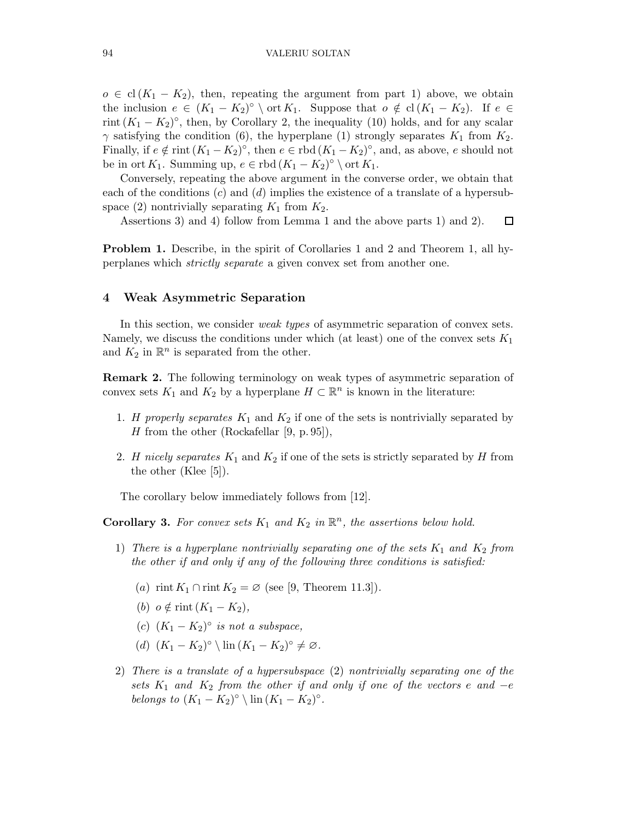$o \in cl(K_1 - K_2)$ , then, repeating the argument from part 1) above, we obtain the inclusion  $e \in (K_1 - K_2)^\circ \setminus \text{ort } K_1$ . Suppose that  $o \notin cl(K_1 - K_2)$ . If  $e \in$ rint  $(K_1 - K_2)^\circ$ , then, by Corollary 2, the inequality (10) holds, and for any scalar  $\gamma$  satisfying the condition (6), the hyperplane (1) strongly separates  $K_1$  from  $K_2$ . Finally, if  $e \notin \text{rint } (K_1 - K_2)^\circ$ , then  $e \in \text{rbd } (K_1 - K_2)^\circ$ , and, as above, e should not be in ort  $K_1$ . Summing up,  $e \in \text{rbd } (K_1 - K_2)^\circ \setminus \text{ort } K_1$ .

Conversely, repeating the above argument in the converse order, we obtain that each of the conditions  $(c)$  and  $(d)$  implies the existence of a translate of a hypersubspace (2) nontrivially separating  $K_1$  from  $K_2$ .

Assertions 3) and 4) follow from Lemma 1 and the above parts 1) and 2).  $\Box$ 

Problem 1. Describe, in the spirit of Corollaries 1 and 2 and Theorem 1, all hyperplanes which strictly separate a given convex set from another one.

#### 4 Weak Asymmetric Separation

In this section, we consider weak types of asymmetric separation of convex sets. Namely, we discuss the conditions under which (at least) one of the convex sets  $K_1$ and  $K_2$  in  $\mathbb{R}^n$  is separated from the other.

Remark 2. The following terminology on weak types of asymmetric separation of convex sets  $K_1$  and  $K_2$  by a hyperplane  $H \subset \mathbb{R}^n$  is known in the literature:

- 1. H properly separates  $K_1$  and  $K_2$  if one of the sets is nontrivially separated by H from the other (Rockafellar [9, p. 95]),
- 2. H nicely separates  $K_1$  and  $K_2$  if one of the sets is strictly separated by H from the other (Klee [5]).

The corollary below immediately follows from [12].

**Corollary 3.** For convex sets  $K_1$  and  $K_2$  in  $\mathbb{R}^n$ , the assertions below hold.

- 1) There is a hyperplane nontrivially separating one of the sets  $K_1$  and  $K_2$  from the other if and only if any of the following three conditions is satisfied:
	- (a) rint  $K_1 \cap \text{rint } K_2 = \emptyset$  (see [9, Theorem 11.3]).
	- (b)  $o \notin$  rint  $(K_1 K_2)$ ,
	- (c)  $(K_1 K_2)^\circ$  is not a subspace,
	- (d)  $(K_1 K_2)^\circ \setminus \text{lin}(K_1 K_2)^\circ \neq \varnothing$ .
- 2) There is a translate of a hypersubspace (2) nontrivially separating one of the sets  $K_1$  and  $K_2$  from the other if and only if one of the vectors e and  $-e$ belongs to  $(K_1 - K_2)^\circ \setminus \text{lin}(K_1 - K_2)^\circ$ .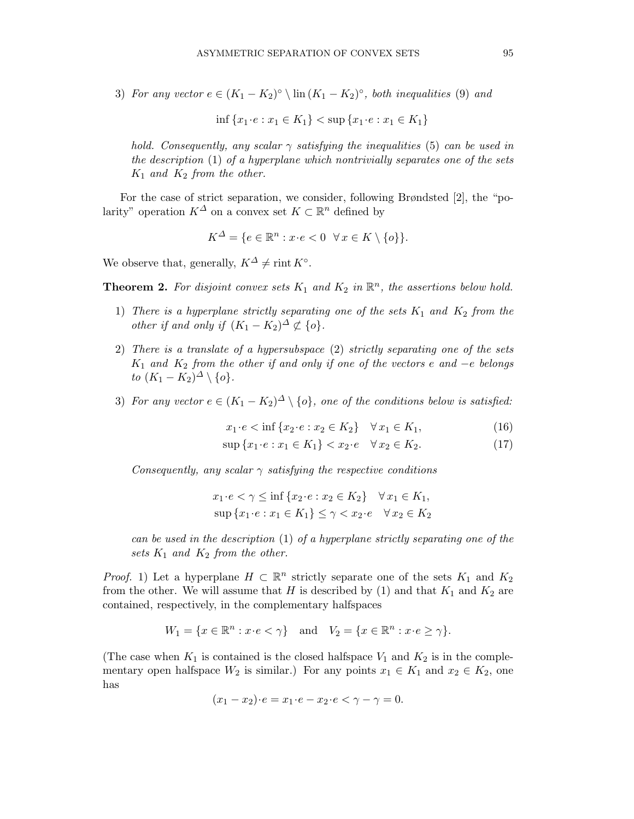3) For any vector  $e \in (K_1 - K_2)^\circ \setminus \text{lin}(K_1 - K_2)^\circ$ , both inequalities (9) and

$$
\inf \{ x_1 \cdot e : x_1 \in K_1 \} < \sup \{ x_1 \cdot e : x_1 \in K_1 \}
$$

hold. Consequently, any scalar  $\gamma$  satisfying the inequalities (5) can be used in the description (1) of a hyperplane which nontrivially separates one of the sets  $K_1$  and  $K_2$  from the other.

For the case of strict separation, we consider, following Brøndsted [2], the "polarity" operation  $K^{\Delta}$  on a convex set  $K \subset \mathbb{R}^n$  defined by

$$
K^{\Delta} = \{ e \in \mathbb{R}^n : x \cdot e < 0 \ \forall x \in K \setminus \{ o \} \}.
$$

We observe that, generally,  $K^{\Delta} \neq \text{rint } K^{\circ}$ .

**Theorem 2.** For disjoint convex sets  $K_1$  and  $K_2$  in  $\mathbb{R}^n$ , the assertions below hold.

- 1) There is a hyperplane strictly separating one of the sets  $K_1$  and  $K_2$  from the other if and only if  $(K_1 - K_2)^{\Delta} \not\subset \{o\}.$
- 2) There is a translate of a hypersubspace (2) strictly separating one of the sets  $K_1$  and  $K_2$  from the other if and only if one of the vectors e and  $-e$  belongs to  $(K_1 - K_2)^{\Delta} \setminus \{o\}.$
- 3) For any vector  $e \in (K_1 K_2)^{\Delta} \setminus \{o\}$ , one of the conditions below is satisfied:

$$
x_1 \cdot e < \inf \{ x_2 \cdot e : x_2 \in K_2 \} \quad \forall \, x_1 \in K_1,\tag{16}
$$

$$
\sup\{x_1 \cdot e : x_1 \in K_1\} < x_2 \cdot e \quad \forall \, x_2 \in K_2. \tag{17}
$$

Consequently, any scalar  $\gamma$  satisfying the respective conditions

$$
x_1 \cdot e < \gamma \le \inf \{ x_2 \cdot e : x_2 \in K_2 \} \quad \forall \, x_1 \in K_1,
$$
\n
$$
\sup \{ x_1 \cdot e : x_1 \in K_1 \} \le \gamma < x_2 \cdot e \quad \forall \, x_2 \in K_2
$$

can be used in the description (1) of a hyperplane strictly separating one of the sets  $K_1$  and  $K_2$  from the other.

*Proof.* 1) Let a hyperplane  $H \subset \mathbb{R}^n$  strictly separate one of the sets  $K_1$  and  $K_2$ from the other. We will assume that H is described by (1) and that  $K_1$  and  $K_2$  are contained, respectively, in the complementary halfspaces

$$
W_1 = \{ x \in \mathbb{R}^n : x \cdot e < \gamma \} \quad \text{and} \quad V_2 = \{ x \in \mathbb{R}^n : x \cdot e \ge \gamma \}.
$$

(The case when  $K_1$  is contained is the closed halfspace  $V_1$  and  $K_2$  is in the complementary open halfspace  $W_2$  is similar.) For any points  $x_1 \in K_1$  and  $x_2 \in K_2$ , one has

$$
(x_1 - x_2) \cdot e = x_1 \cdot e - x_2 \cdot e < \gamma - \gamma = 0.
$$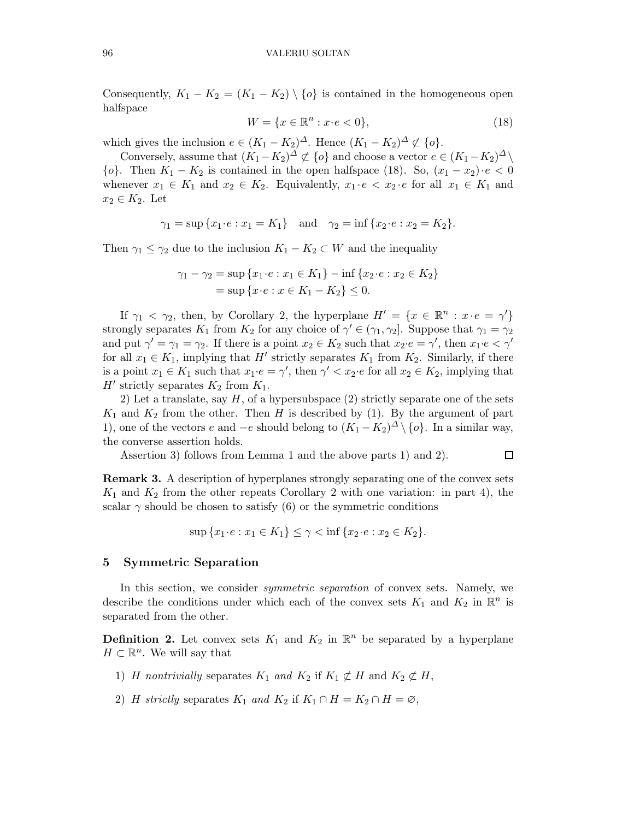Consequently,  $K_1 - K_2 = (K_1 - K_2) \setminus \{o\}$  is contained in the homogeneous open halfspace

$$
W = \{x \in \mathbb{R}^n : x \cdot e < 0\},\tag{18}
$$

which gives the inclusion  $e \in (K_1 - K_2)^{\Delta}$ . Hence  $(K_1 - K_2)^{\Delta} \not\subset \{o\}$ .

Conversely, assume that  $(K_1 - K_2)^{\Delta} \not\subset \{o\}$  and choose a vector  $e \in (K_1 - K_2)^{\Delta} \setminus \{o\}$  $\{o\}$ . Then  $K_1 - K_2$  is contained in the open halfspace (18). So,  $(x_1 - x_2) \cdot e < 0$ whenever  $x_1 \in K_1$  and  $x_2 \in K_2$ . Equivalently,  $x_1 \cdot e < x_2 \cdot e$  for all  $x_1 \in K_1$  and  $x_2 \in K_2$ . Let

$$
\gamma_1 = \sup \{ x_1 \cdot e : x_1 = K_1 \}
$$
 and  $\gamma_2 = \inf \{ x_2 \cdot e : x_2 = K_2 \}.$ 

Then  $\gamma_1 \leq \gamma_2$  due to the inclusion  $K_1 - K_2 \subset W$  and the inequality

$$
\gamma_1 - \gamma_2 = \sup \{ x_1 \cdot e : x_1 \in K_1 \} - \inf \{ x_2 \cdot e : x_2 \in K_2 \}
$$
  
= 
$$
\sup \{ x \cdot e : x \in K_1 - K_2 \} \le 0.
$$

If  $\gamma_1 < \gamma_2$ , then, by Corollary 2, the hyperplane  $H' = \{x \in \mathbb{R}^n : x \cdot e = \gamma'\}$ strongly separates  $K_1$  from  $K_2$  for any choice of  $\gamma' \in (\gamma_1, \gamma_2]$ . Suppose that  $\gamma_1 = \gamma_2$ and put  $\gamma' = \gamma_1 = \gamma_2$ . If there is a point  $x_2 \in K_2$  such that  $x_2 \cdot e = \gamma'$ , then  $x_1 \cdot e < \gamma'$ for all  $x_1 \in K_1$ , implying that H' strictly separates  $K_1$  from  $K_2$ . Similarly, if there is a point  $x_1 \in K_1$  such that  $x_1 \cdot e = \gamma'$ , then  $\gamma' < x_2 \cdot e$  for all  $x_2 \in K_2$ , implying that H' strictly separates  $K_2$  from  $K_1$ .

2) Let a translate, say  $H$ , of a hypersubspace  $(2)$  strictly separate one of the sets  $K_1$  and  $K_2$  from the other. Then H is described by (1). By the argument of part 1), one of the vectors e and  $-e$  should belong to  $(K_1 - K_2)^{\Delta} \setminus \{o\}$ . In a similar way, the converse assertion holds.

Assertion 3) follows from Lemma 1 and the above parts 1) and 2).

 $\Box$ 

Remark 3. A description of hyperplanes strongly separating one of the convex sets  $K_1$  and  $K_2$  from the other repeats Corollary 2 with one variation: in part 4), the scalar  $\gamma$  should be chosen to satisfy (6) or the symmetric conditions

$$
\sup\{x_1 \cdot e : x_1 \in K_1\} \le \gamma < \inf\{x_2 \cdot e : x_2 \in K_2\}.
$$

#### 5 Symmetric Separation

In this section, we consider *symmetric separation* of convex sets. Namely, we describe the conditions under which each of the convex sets  $K_1$  and  $K_2$  in  $\mathbb{R}^n$  is separated from the other.

**Definition 2.** Let convex sets  $K_1$  and  $K_2$  in  $\mathbb{R}^n$  be separated by a hyperplane  $H \subset \mathbb{R}^n$ . We will say that

- 1) H nontrivially separates  $K_1$  and  $K_2$  if  $K_1 \not\subset H$  and  $K_2 \not\subset H$ ,
- 2) H strictly separates  $K_1$  and  $K_2$  if  $K_1 \cap H = K_2 \cap H = \emptyset$ ,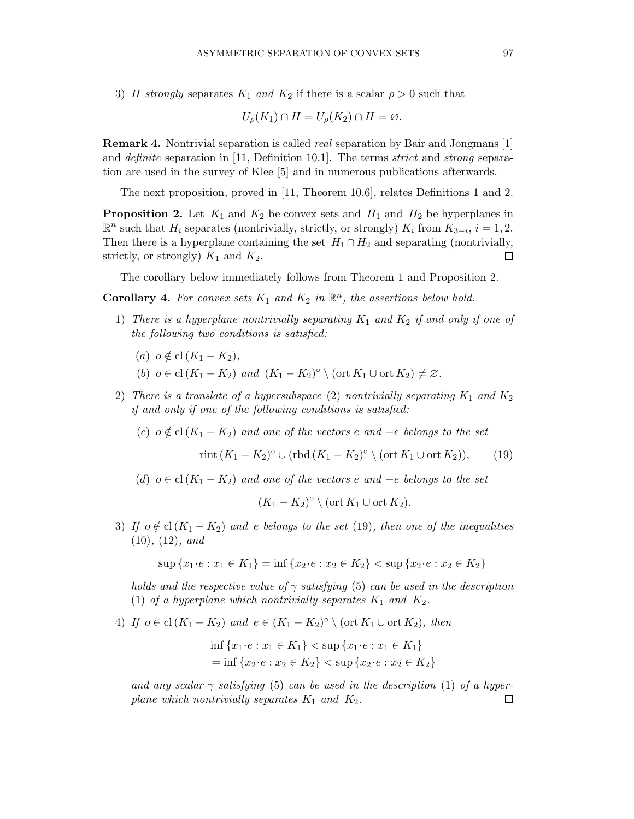3) H strongly separates  $K_1$  and  $K_2$  if there is a scalar  $\rho > 0$  such that

$$
U_{\rho}(K_1) \cap H = U_{\rho}(K_2) \cap H = \varnothing.
$$

Remark 4. Nontrivial separation is called real separation by Bair and Jongmans [1] and definite separation in [11, Definition 10.1]. The terms strict and strong separation are used in the survey of Klee [5] and in numerous publications afterwards.

The next proposition, proved in [11, Theorem 10.6], relates Definitions 1 and 2.

**Proposition 2.** Let  $K_1$  and  $K_2$  be convex sets and  $H_1$  and  $H_2$  be hyperplanes in  $\mathbb{R}^n$  such that  $H_i$  separates (nontrivially, strictly, or strongly)  $K_i$  from  $K_{3-i}$ ,  $i = 1, 2$ . Then there is a hyperplane containing the set  $H_1 \cap H_2$  and separating (nontrivially, strictly, or strongly)  $K_1$  and  $K_2$ .  $\Box$ 

The corollary below immediately follows from Theorem 1 and Proposition 2.

**Corollary 4.** For convex sets  $K_1$  and  $K_2$  in  $\mathbb{R}^n$ , the assertions below hold.

- 1) There is a hyperplane nontrivially separating  $K_1$  and  $K_2$  if and only if one of the following two conditions is satisfied:
	- (a)  $o \notin cl(K_1 K_2),$
	- (b)  $o \in \text{cl}(K_1 K_2)$  and  $(K_1 K_2)^\circ \setminus (\text{ort } K_1 \cup \text{ort } K_2) \neq \emptyset$ .
- 2) There is a translate of a hypersubspace (2) nontrivially separating  $K_1$  and  $K_2$ if and only if one of the following conditions is satisfied:
	- (c)  $o \notin cl(K_1 K_2)$  and one of the vectors e and  $-e$  belongs to the set

 $\text{rint } (K_1 - K_2)^\circ \cup (\text{rbd } (K_1 - K_2)^\circ \setminus (\text{ort } K_1 \cup \text{ort } K_2)),$  (19)

(d)  $o \in cl(K_1 - K_2)$  and one of the vectors e and  $-e$  belongs to the set

$$
(K_1 - K_2)^{\circ} \setminus (\text{ort } K_1 \cup \text{ort } K_2).
$$

3) If  $o \notin cl(K_1 - K_2)$  and e belongs to the set (19), then one of the inequalities  $(10), (12), and$ 

$$
\sup\{x_1 \cdot e : x_1 \in K_1\} = \inf\{x_2 \cdot e : x_2 \in K_2\} < \sup\{x_2 \cdot e : x_2 \in K_2\}
$$

holds and the respective value of  $\gamma$  satisfying (5) can be used in the description (1) of a hyperplane which nontrivially separates  $K_1$  and  $K_2$ .

4) If  $o \in \text{cl}(K_1 - K_2)$  and  $e \in (K_1 - K_2)^\circ \setminus (\text{ort } K_1 \cup \text{ort } K_2)$ , then

$$
\inf \{x_1 \cdot e : x_1 \in K_1\} < \sup \{x_1 \cdot e : x_1 \in K_1\}
$$
\n
$$
= \inf \{x_2 \cdot e : x_2 \in K_2\} < \sup \{x_2 \cdot e : x_2 \in K_2\}
$$

and any scalar  $\gamma$  satisfying (5) can be used in the description (1) of a hyperplane which nontrivially separates  $K_1$  and  $K_2$ .  $\Box$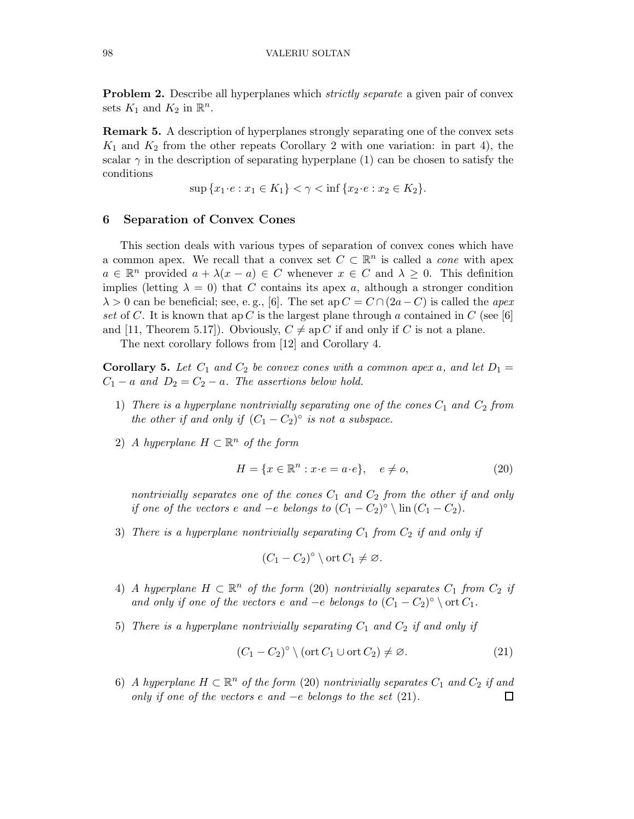**Problem 2.** Describe all hyperplanes which *strictly separate* a given pair of convex sets  $K_1$  and  $K_2$  in  $\mathbb{R}^n$ .

Remark 5. A description of hyperplanes strongly separating one of the convex sets  $K_1$  and  $K_2$  from the other repeats Corollary 2 with one variation: in part 4), the scalar  $\gamma$  in the description of separating hyperplane (1) can be chosen to satisfy the conditions

 $\sup \{x_1 \cdot e : x_1 \in K_1\} < \gamma < \inf \{x_2 \cdot e : x_2 \in K_2\}.$ 

# 6 Separation of Convex Cones

This section deals with various types of separation of convex cones which have a common apex. We recall that a convex set  $C \subset \mathbb{R}^n$  is called a *cone* with apex  $a \in \mathbb{R}^n$  provided  $a + \lambda(x - a) \in C$  whenever  $x \in C$  and  $\lambda \geq 0$ . This definition implies (letting  $\lambda = 0$ ) that C contains its apex a, although a stronger condition  $\lambda > 0$  can be beneficial; see, e.g., [6]. The set ap  $C = C \cap (2a-C)$  is called the apex set of C. It is known that ap C is the largest plane through a contained in C (see [6] and [11, Theorem 5.17]). Obviously,  $C \neq ap C$  if and only if C is not a plane.

The next corollary follows from [12] and Corollary 4.

**Corollary 5.** Let  $C_1$  and  $C_2$  be convex cones with a common apex a, and let  $D_1 =$  $C_1 - a$  and  $D_2 = C_2 - a$ . The assertions below hold.

- 1) There is a hyperplane nontrivially separating one of the cones  $C_1$  and  $C_2$  from the other if and only if  $(C_1 - C_2)^\circ$  is not a subspace.
- 2) A hyperplane  $H \subset \mathbb{R}^n$  of the form

$$
H = \{x \in \mathbb{R}^n : x \cdot e = a \cdot e\}, \quad e \neq o,\tag{20}
$$

nontrivially separates one of the cones  $C_1$  and  $C_2$  from the other if and only if one of the vectors e and  $-e$  belongs to  $(C_1 - C_2)^\circ \setminus \text{lin}(C_1 - C_2)$ .

3) There is a hyperplane nontrivially separating  $C_1$  from  $C_2$  if and only if

$$
(C_1 - C_2)^{\circ} \setminus \text{ort } C_1 \neq \emptyset.
$$

- 4) A hyperplane  $H \subset \mathbb{R}^n$  of the form (20) nontrivially separates  $C_1$  from  $C_2$  if and only if one of the vectors e and  $-e$  belongs to  $(C_1 - C_2)^\circ \setminus \text{ort } C_1$ .
- 5) There is a hyperplane nontrivially separating  $C_1$  and  $C_2$  if and only if

$$
(C_1 - C_2)^{\circ} \setminus (\operatorname{ort} C_1 \cup \operatorname{ort} C_2) \neq \varnothing. \tag{21}
$$

6) A hyperplane  $H \subset \mathbb{R}^n$  of the form (20) nontrivially separates  $C_1$  and  $C_2$  if and only if one of the vectors e and  $-e$  belongs to the set  $(21)$ .  $\Box$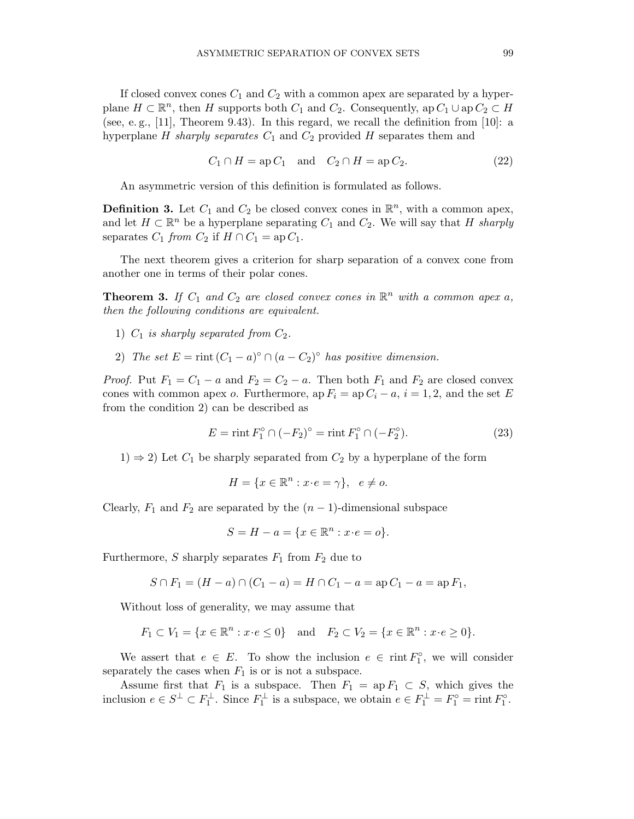If closed convex cones  $C_1$  and  $C_2$  with a common apex are separated by a hyperplane  $H \subset \mathbb{R}^n$ , then H supports both  $C_1$  and  $C_2$ . Consequently, ap  $C_1 \cup$  ap  $C_2 \subset H$ (see, e.g.,  $[11]$ , Theorem 9.43). In this regard, we recall the definition from  $[10]$ : a hyperplane  $H$  sharply separates  $C_1$  and  $C_2$  provided  $H$  separates them and

$$
C_1 \cap H = \operatorname{ap} C_1 \quad \text{and} \quad C_2 \cap H = \operatorname{ap} C_2. \tag{22}
$$

An asymmetric version of this definition is formulated as follows.

**Definition 3.** Let  $C_1$  and  $C_2$  be closed convex cones in  $\mathbb{R}^n$ , with a common apex, and let  $H \subset \mathbb{R}^n$  be a hyperplane separating  $C_1$  and  $C_2$ . We will say that H sharply separates  $C_1$  from  $C_2$  if  $H \cap C_1 =$  ap  $C_1$ .

The next theorem gives a criterion for sharp separation of a convex cone from another one in terms of their polar cones.

**Theorem 3.** If  $C_1$  and  $C_2$  are closed convex cones in  $\mathbb{R}^n$  with a common apex a, then the following conditions are equivalent.

- 1)  $C_1$  is sharply separated from  $C_2$ .
- 2) The set  $E = \text{rint}(C_1 a)^\circ \cap (a C_2)^\circ$  has positive dimension.

*Proof.* Put  $F_1 = C_1 - a$  and  $F_2 = C_2 - a$ . Then both  $F_1$  and  $F_2$  are closed convex cones with common apex o. Furthermore, ap  $F_i =$ ap  $C_i - a$ ,  $i = 1, 2$ , and the set E from the condition 2) can be described as

$$
E = \text{rint } F_1^{\circ} \cap (-F_2)^{\circ} = \text{rint } F_1^{\circ} \cap (-F_2^{\circ}). \tag{23}
$$

 $1) \Rightarrow 2$ ) Let  $C_1$  be sharply separated from  $C_2$  by a hyperplane of the form

$$
H = \{ x \in \mathbb{R}^n : x \cdot e = \gamma \}, \quad e \neq o.
$$

Clearly,  $F_1$  and  $F_2$  are separated by the  $(n-1)$ -dimensional subspace

$$
S = H - a = \{x \in \mathbb{R}^n : x \cdot e = o\}.
$$

Furthermore, S sharply separates  $F_1$  from  $F_2$  due to

$$
S \cap F_1 = (H - a) \cap (C_1 - a) = H \cap C_1 - a = \text{ap } C_1 - a = \text{ap } F_1,
$$

Without loss of generality, we may assume that

$$
F_1 \subset V_1 = \{x \in \mathbb{R}^n : x \cdot e \le 0\}
$$
 and  $F_2 \subset V_2 = \{x \in \mathbb{R}^n : x \cdot e \ge 0\}.$ 

We assert that  $e \in E$ . To show the inclusion  $e \in \text{rint} F_1^{\circ}$ , we will consider separately the cases when  $F_1$  is or is not a subspace.

Assume first that  $F_1$  is a subspace. Then  $F_1 = \text{ap } F_1 \subset S$ , which gives the inclusion  $e \in S^{\perp} \subset F_1^{\perp}$ . Since  $F_1^{\perp}$  is a subspace, we obtain  $e \in F_1^{\perp} = F_1^{\circ} = \text{rint } F_1^{\circ}$ .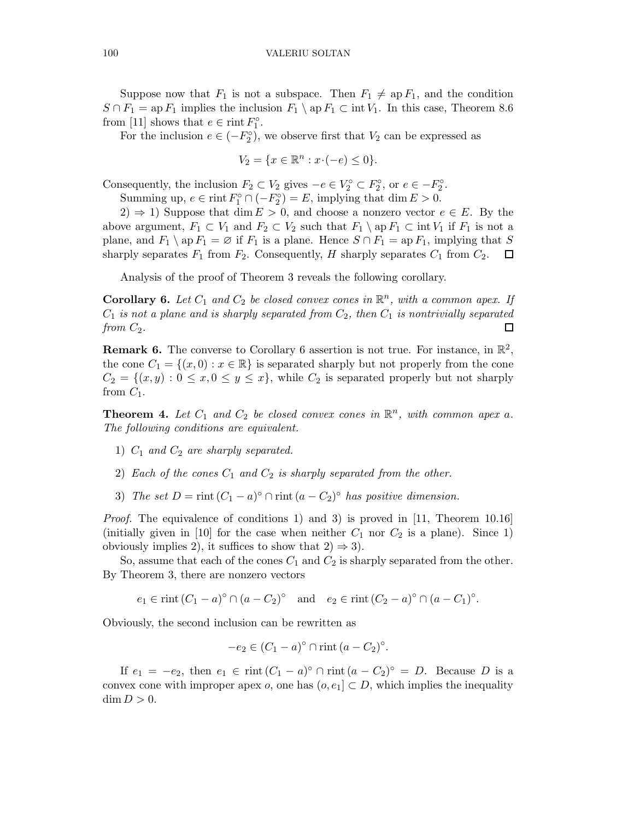Suppose now that  $F_1$  is not a subspace. Then  $F_1 \neq \text{ap } F_1$ , and the condition  $S \cap F_1 = \text{ap } F_1$  implies the inclusion  $F_1 \setminus \text{ap } F_1 \subset \text{int } V_1$ . In this case, Theorem 8.6 from [11] shows that  $e \in \text{rint } F_1^{\circ}$ .

For the inclusion  $e \in (-F_2^{\circ})$ , we observe first that  $V_2$  can be expressed as

$$
V_2 = \{ x \in \mathbb{R}^n : x \cdot (-e) \le 0 \}.
$$

Consequently, the inclusion  $F_2 \subset V_2$  gives  $-e \in V_2^{\circ} \subset F_2^{\circ}$ , or  $e \in -F_2^{\circ}$ .

Summing up,  $e \in \text{rint } F_1^{\circ} \cap (-F_2^{\circ}) = E$ , implying that dim  $E > 0$ .

 $2) \Rightarrow 1$ ) Suppose that dim  $E > 0$ , and choose a nonzero vector  $e \in E$ . By the above argument,  $F_1 \subset V_1$  and  $F_2 \subset V_2$  such that  $F_1 \setminus \mathrm{ap} F_1 \subset \mathrm{int} V_1$  if  $F_1$  is not a plane, and  $F_1 \setminus \text{ap } F_1 = \emptyset$  if  $F_1$  is a plane. Hence  $S \cap F_1 = \text{ap } F_1$ , implying that S sharply separates  $F_1$  from  $F_2$ . Consequently, H sharply separates  $C_1$  from  $C_2$ .  $\Box$ 

Analysis of the proof of Theorem 3 reveals the following corollary.

**Corollary 6.** Let  $C_1$  and  $C_2$  be closed convex cones in  $\mathbb{R}^n$ , with a common apex. If  $C_1$  is not a plane and is sharply separated from  $C_2$ , then  $C_1$  is nontrivially separated from  $C_2$ .  $\Box$ 

**Remark 6.** The converse to Corollary 6 assertion is not true. For instance, in  $\mathbb{R}^2$ , the cone  $C_1 = \{(x, 0) : x \in \mathbb{R}\}\$ is separated sharply but not properly from the cone  $C_2 = \{(x, y): 0 \le x, 0 \le y \le x\}$ , while  $C_2$  is separated properly but not sharply from  $C_1$ .

**Theorem 4.** Let  $C_1$  and  $C_2$  be closed convex cones in  $\mathbb{R}^n$ , with common apex a. The following conditions are equivalent.

- 1)  $C_1$  and  $C_2$  are sharply separated.
- 2) Each of the cones  $C_1$  and  $C_2$  is sharply separated from the other.
- 3) The set  $D = \text{rint}(C_1 a)^\circ \cap \text{rint}(a C_2)^\circ$  has positive dimension.

Proof. The equivalence of conditions 1) and 3) is proved in [11, Theorem 10.16] (initially given in [10] for the case when neither  $C_1$  nor  $C_2$  is a plane). Since 1) obviously implies 2), it suffices to show that  $2 \Rightarrow 3$ .

So, assume that each of the cones  $C_1$  and  $C_2$  is sharply separated from the other. By Theorem 3, there are nonzero vectors

 $e_1 \in \text{rint} (C_1 - a)^\circ \cap (a - C_2)^\circ \text{ and } e_2 \in \text{rint} (C_2 - a)^\circ \cap (a - C_1)^\circ.$ 

Obviously, the second inclusion can be rewritten as

$$
-e_2 \in (C_1 - a)^{\circ} \cap \text{rint } (a - C_2)^{\circ}.
$$

If  $e_1 = -e_2$ , then  $e_1 \in \text{rint} (C_1 - a)^\circ \cap \text{rint} (a - C_2)^\circ = D$ . Because D is a convex cone with improper apex o, one has  $(o, e_1] \subset D$ , which implies the inequality  $\dim D > 0.$